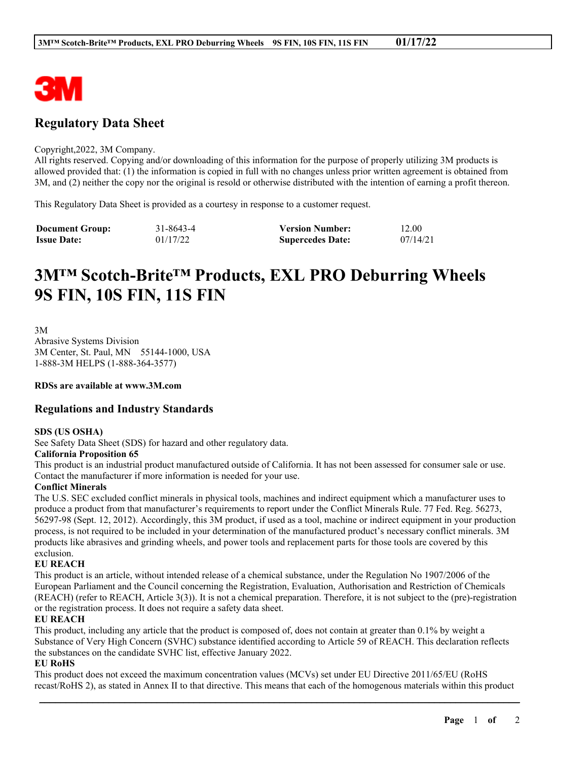

# **Regulatory Data Sheet**

#### Copyright,2022, 3M Company.

All rights reserved. Copying and/or downloading of this information for the purpose of properly utilizing 3M products is allowed provided that: (1) the information is copied in full with no changes unless prior written agreement is obtained from 3M, and (2) neither the copy nor the original is resold or otherwise distributed with the intention of earning a profit thereon.

This Regulatory Data Sheet is provided as a courtesy in response to a customer request.

| <b>Document Group:</b> | 31-8643-4 | <b>Version Number:</b>  | 12.00    |
|------------------------|-----------|-------------------------|----------|
| <b>Issue Date:</b>     | 01/17/22  | <b>Supercedes Date:</b> | 07/14/21 |

# **3M™ Scotch-Brite™ Products, EXL PRO Deburring Wheels 9S FIN, 10S FIN, 11S FIN**

3M Abrasive Systems Division 3M Center, St. Paul, MN 55144-1000, USA 1-888-3M HELPS (1-888-364-3577)

**RDSs are available at www.3M.com**

# **Regulations and Industry Standards**

#### **SDS (US OSHA)**

See Safety Data Sheet (SDS) for hazard and other regulatory data.

#### **California Proposition 65**

This product is an industrial product manufactured outside of California. It has not been assessed for consumer sale or use. Contact the manufacturer if more information is needed for your use.

# **Conflict Minerals**

The U.S. SEC excluded conflict minerals in physical tools, machines and indirect equipment which a manufacturer uses to produce a product from that manufacturer's requirements to report under the Conflict Minerals Rule. 77 Fed. Reg. 56273, 56297-98 (Sept. 12, 2012). Accordingly, this 3M product, if used as a tool, machine or indirect equipment in your production process, is not required to be included in your determination of the manufactured product's necessary conflict minerals. 3M products like abrasives and grinding wheels, and power tools and replacement parts for those tools are covered by this exclusion.

# **EU REACH**

This product is an article, without intended release of a chemical substance, under the Regulation No 1907/2006 of the European Parliament and the Council concerning the Registration, Evaluation, Authorisation and Restriction of Chemicals (REACH) (refer to REACH, Article 3(3)). It is not a chemical preparation. Therefore, it is not subject to the (pre)-registration or the registration process. It does not require a safety data sheet.

#### **EU REACH**

This product, including any article that the product is composed of, does not contain at greater than 0.1% by weight a Substance of Very High Concern (SVHC) substance identified according to Article 59 of REACH. This declaration reflects the substances on the candidate SVHC list, effective January 2022.

# **EU RoHS**

This product does not exceed the maximum concentration values (MCVs) set under EU Directive 2011/65/EU (RoHS recast/RoHS 2), as stated in Annex II to that directive. This means that each of the homogenous materials within this product

\_\_\_\_\_\_\_\_\_\_\_\_\_\_\_\_\_\_\_\_\_\_\_\_\_\_\_\_\_\_\_\_\_\_\_\_\_\_\_\_\_\_\_\_\_\_\_\_\_\_\_\_\_\_\_\_\_\_\_\_\_\_\_\_\_\_\_\_\_\_\_\_\_\_\_\_\_\_\_\_\_\_\_\_\_\_\_\_\_\_